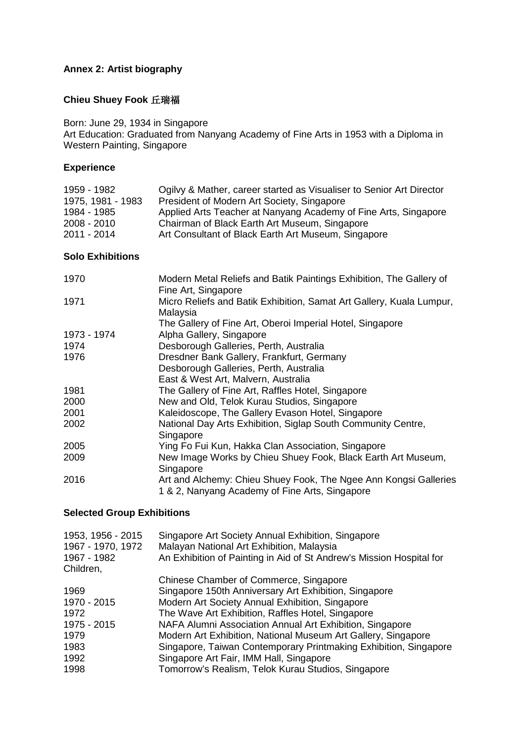# **Annex 2: Artist biography**

# **Chieu Shuey Fook** 丘瑞福

Born: June 29, 1934 in Singapore Art Education: Graduated from Nanyang Academy of Fine Arts in 1953 with a Diploma in Western Painting, Singapore

#### **Experience**

| 1959 - 1982       | Ogilvy & Mather, career started as Visualiser to Senior Art Director |
|-------------------|----------------------------------------------------------------------|
| 1975, 1981 - 1983 | President of Modern Art Society, Singapore                           |
| 1984 - 1985       | Applied Arts Teacher at Nanyang Academy of Fine Arts, Singapore      |
| 2008 - 2010       | Chairman of Black Earth Art Museum, Singapore                        |
| 2011 - 2014       | Art Consultant of Black Earth Art Museum, Singapore                  |

### **Solo Exhibitions**

| 1970        | Modern Metal Reliefs and Batik Paintings Exhibition, The Gallery of<br>Fine Art, Singapore                         |
|-------------|--------------------------------------------------------------------------------------------------------------------|
| 1971        | Micro Reliefs and Batik Exhibition, Samat Art Gallery, Kuala Lumpur,<br>Malaysia                                   |
|             | The Gallery of Fine Art, Oberoi Imperial Hotel, Singapore                                                          |
| 1973 - 1974 | Alpha Gallery, Singapore                                                                                           |
| 1974        | Desborough Galleries, Perth, Australia                                                                             |
| 1976        | Dresdner Bank Gallery, Frankfurt, Germany                                                                          |
|             | Desborough Galleries, Perth, Australia                                                                             |
|             | East & West Art, Malvern, Australia                                                                                |
| 1981        | The Gallery of Fine Art, Raffles Hotel, Singapore                                                                  |
| 2000        | New and Old, Telok Kurau Studios, Singapore                                                                        |
| 2001        | Kaleidoscope, The Gallery Evason Hotel, Singapore                                                                  |
| 2002        | National Day Arts Exhibition, Siglap South Community Centre,<br>Singapore                                          |
| 2005        | Ying Fo Fui Kun, Hakka Clan Association, Singapore                                                                 |
| 2009        | New Image Works by Chieu Shuey Fook, Black Earth Art Museum,<br>Singapore                                          |
| 2016        | Art and Alchemy: Chieu Shuey Fook, The Ngee Ann Kongsi Galleries<br>1 & 2, Nanyang Academy of Fine Arts, Singapore |

#### **Selected Group Exhibitions**

| 1953, 1956 - 2015<br>1967 - 1970, 1972<br>1967 - 1982<br>Children, | Singapore Art Society Annual Exhibition, Singapore<br>Malayan National Art Exhibition, Malaysia<br>An Exhibition of Painting in Aid of St Andrew's Mission Hospital for |
|--------------------------------------------------------------------|-------------------------------------------------------------------------------------------------------------------------------------------------------------------------|
|                                                                    | Chinese Chamber of Commerce, Singapore                                                                                                                                  |
| 1969                                                               | Singapore 150th Anniversary Art Exhibition, Singapore                                                                                                                   |
| 1970 - 2015                                                        | Modern Art Society Annual Exhibition, Singapore                                                                                                                         |
| 1972                                                               | The Wave Art Exhibition, Raffles Hotel, Singapore                                                                                                                       |
| 1975 - 2015                                                        | NAFA Alumni Association Annual Art Exhibition, Singapore                                                                                                                |
| 1979                                                               | Modern Art Exhibition, National Museum Art Gallery, Singapore                                                                                                           |
| 1983                                                               | Singapore, Taiwan Contemporary Printmaking Exhibition, Singapore                                                                                                        |
| 1992                                                               | Singapore Art Fair, IMM Hall, Singapore                                                                                                                                 |
| 1998                                                               | Tomorrow's Realism, Telok Kurau Studios, Singapore                                                                                                                      |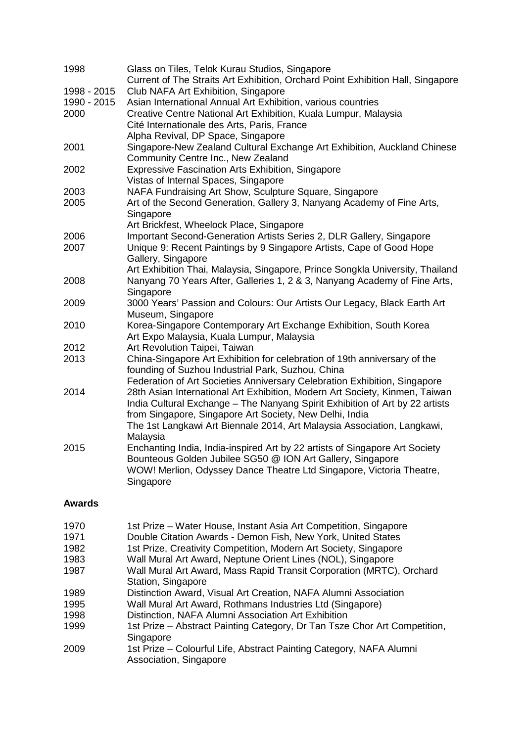| 1998        | Glass on Tiles, Telok Kurau Studios, Singapore                                                                                 |
|-------------|--------------------------------------------------------------------------------------------------------------------------------|
|             | Current of The Straits Art Exhibition, Orchard Point Exhibition Hall, Singapore                                                |
| 1998 - 2015 | Club NAFA Art Exhibition, Singapore                                                                                            |
| 1990 - 2015 | Asian International Annual Art Exhibition, various countries                                                                   |
| 2000        | Creative Centre National Art Exhibition, Kuala Lumpur, Malaysia                                                                |
|             | Cité Internationale des Arts, Paris, France                                                                                    |
|             | Alpha Revival, DP Space, Singapore                                                                                             |
| 2001        | Singapore-New Zealand Cultural Exchange Art Exhibition, Auckland Chinese                                                       |
|             | Community Centre Inc., New Zealand                                                                                             |
| 2002        | <b>Expressive Fascination Arts Exhibition, Singapore</b>                                                                       |
|             | Vistas of Internal Spaces, Singapore                                                                                           |
| 2003        | NAFA Fundraising Art Show, Sculpture Square, Singapore                                                                         |
| 2005        | Art of the Second Generation, Gallery 3, Nanyang Academy of Fine Arts,                                                         |
|             | Singapore                                                                                                                      |
|             | Art Brickfest, Wheelock Place, Singapore                                                                                       |
| 2006        | Important Second-Generation Artists Series 2, DLR Gallery, Singapore                                                           |
| 2007        | Unique 9: Recent Paintings by 9 Singapore Artists, Cape of Good Hope                                                           |
|             | Gallery, Singapore                                                                                                             |
|             | Art Exhibition Thai, Malaysia, Singapore, Prince Songkla University, Thailand                                                  |
| 2008        | Nanyang 70 Years After, Galleries 1, 2 & 3, Nanyang Academy of Fine Arts,                                                      |
|             | Singapore                                                                                                                      |
| 2009        | 3000 Years' Passion and Colours: Our Artists Our Legacy, Black Earth Art                                                       |
|             | Museum, Singapore                                                                                                              |
| 2010        | Korea-Singapore Contemporary Art Exchange Exhibition, South Korea                                                              |
|             | Art Expo Malaysia, Kuala Lumpur, Malaysia                                                                                      |
| 2012        | Art Revolution Taipei, Taiwan                                                                                                  |
| 2013        | China-Singapore Art Exhibition for celebration of 19th anniversary of the<br>founding of Suzhou Industrial Park, Suzhou, China |
|             | Federation of Art Societies Anniversary Celebration Exhibition, Singapore                                                      |
| 2014        | 28th Asian International Art Exhibition, Modern Art Society, Kinmen, Taiwan                                                    |
|             | India Cultural Exchange - The Nanyang Spirit Exhibition of Art by 22 artists                                                   |
|             | from Singapore, Singapore Art Society, New Delhi, India                                                                        |
|             | The 1st Langkawi Art Biennale 2014, Art Malaysia Association, Langkawi,                                                        |
|             | Malaysia                                                                                                                       |
| 2015        | Enchanting India, India-inspired Art by 22 artists of Singapore Art Society                                                    |
|             | Bounteous Golden Jubilee SG50 @ ION Art Gallery, Singapore                                                                     |
|             | WOW! Merlion, Odyssey Dance Theatre Ltd Singapore, Victoria Theatre,                                                           |
|             | Singapore                                                                                                                      |
|             |                                                                                                                                |

## **Awards**

| 1970 | 1st Prize – Water House, Instant Asia Art Competition, Singapore          |
|------|---------------------------------------------------------------------------|
| 1971 | Double Citation Awards - Demon Fish, New York, United States              |
| 1982 | 1st Prize, Creativity Competition, Modern Art Society, Singapore          |
| 1983 | Wall Mural Art Award, Neptune Orient Lines (NOL), Singapore               |
| 1987 | Wall Mural Art Award, Mass Rapid Transit Corporation (MRTC), Orchard      |
|      | Station, Singapore                                                        |
| 1989 | Distinction Award, Visual Art Creation, NAFA Alumni Association           |
| 1995 | Wall Mural Art Award, Rothmans Industries Ltd (Singapore)                 |
| 1998 | Distinction, NAFA Alumni Association Art Exhibition                       |
| 1999 | 1st Prize – Abstract Painting Category, Dr Tan Tsze Chor Art Competition, |
|      | Singapore                                                                 |
| 2009 | 1st Prize – Colourful Life, Abstract Painting Category, NAFA Alumni       |
|      | Association, Singapore                                                    |